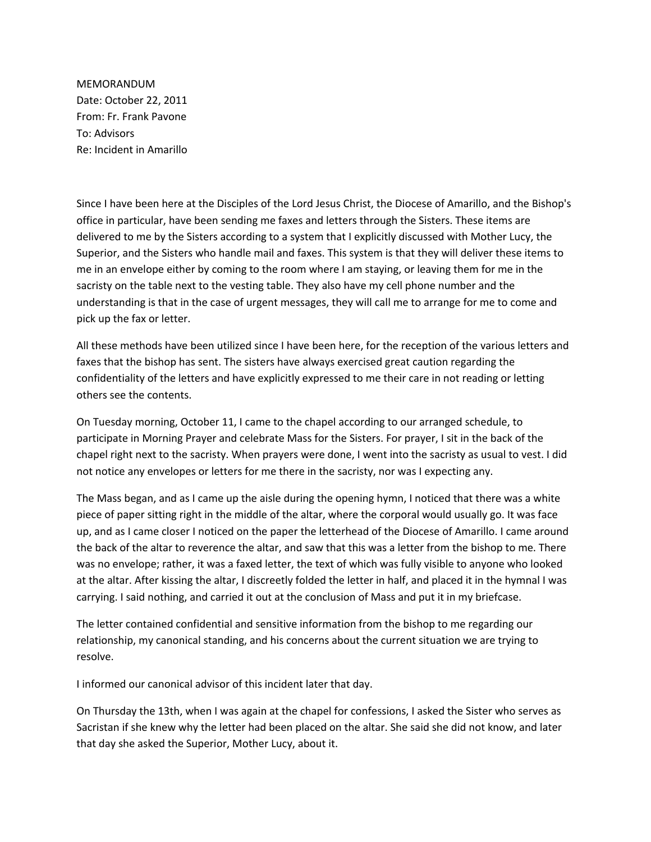MEMORANDUM Date: October 22, 2011 From: Fr. Frank Pavone To: Advisors Re: Incident in Amarillo

Since I have been here at the Disciples of the Lord Jesus Christ, the Diocese of Amarillo, and the Bishop's office in particular, have been sending me faxes and letters through the Sisters. These items are delivered to me by the Sisters according to a system that I explicitly discussed with Mother Lucy, the Superior, and the Sisters who handle mail and faxes. This system is that they will deliver these items to me in an envelope either by coming to the room where I am staying, or leaving them for me in the sacristy on the table next to the vesting table. They also have my cell phone number and the understanding is that in the case of urgent messages, they will call me to arrange for me to come and pick up the fax or letter.

All these methods have been utilized since I have been here, for the reception of the various letters and faxes that the bishop has sent. The sisters have always exercised great caution regarding the confidentiality of the letters and have explicitly expressed to me their care in not reading or letting others see the contents.

On Tuesday morning, October 11, I came to the chapel according to our arranged schedule, to participate in Morning Prayer and celebrate Mass for the Sisters. For prayer, I sit in the back of the chapel right next to the sacristy. When prayers were done, I went into the sacristy as usual to vest. I did not notice any envelopes or letters for me there in the sacristy, nor was I expecting any.

The Mass began, and as I came up the aisle during the opening hymn, I noticed that there was a white piece of paper sitting right in the middle of the altar, where the corporal would usually go. It was face up, and as I came closer I noticed on the paper the letterhead of the Diocese of Amarillo. I came around the back of the altar to reverence the altar, and saw that this was a letter from the bishop to me. There was no envelope; rather, it was a faxed letter, the text of which was fully visible to anyone who looked at the altar. After kissing the altar, I discreetly folded the letter in half, and placed it in the hymnal I was carrying. I said nothing, and carried it out at the conclusion of Mass and put it in my briefcase.

The letter contained confidential and sensitive information from the bishop to me regarding our relationship, my canonical standing, and his concerns about the current situation we are trying to resolve.

I informed our canonical advisor of this incident later that day.

On Thursday the 13th, when I was again at the chapel for confessions, I asked the Sister who serves as Sacristan if she knew why the letter had been placed on the altar. She said she did not know, and later that day she asked the Superior, Mother Lucy, about it.